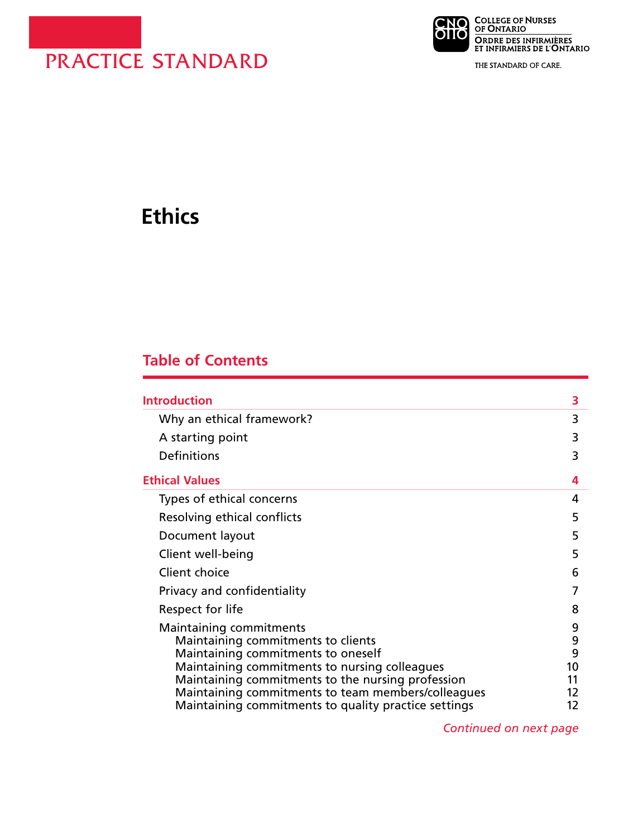

**NO COLLEGE OF NURSES**<br>**DITO** OF ONTARIO ORDRE DES INFIRMIÈRES<br>ET INFIRMIERS DE L'ONTARIO

THE STANDARD OF CARE.

# **Ethics**

# **Table of Contents**

| <b>Introduction</b>                                                                                                                                                                                                                                             | 3                              |
|-----------------------------------------------------------------------------------------------------------------------------------------------------------------------------------------------------------------------------------------------------------------|--------------------------------|
| Why an ethical framework?                                                                                                                                                                                                                                       | 3                              |
| A starting point                                                                                                                                                                                                                                                | 3                              |
| Definitions                                                                                                                                                                                                                                                     | 3                              |
| <b>Ethical Values</b>                                                                                                                                                                                                                                           | 4                              |
| Types of ethical concerns                                                                                                                                                                                                                                       | 4                              |
| Resolving ethical conflicts                                                                                                                                                                                                                                     | 5                              |
| Document layout                                                                                                                                                                                                                                                 | 5                              |
| Client well-being                                                                                                                                                                                                                                               | 5                              |
| Client choice                                                                                                                                                                                                                                                   | 6                              |
| Privacy and confidentiality                                                                                                                                                                                                                                     | 7                              |
| Respect for life                                                                                                                                                                                                                                                | 8                              |
| Maintaining commitments<br>Maintaining commitments to clients<br>Maintaining commitments to oneself<br>Maintaining commitments to nursing colleagues<br>Maintaining commitments to the nursing profession<br>Maintaining commitments to team members/colleagues | 9<br>9<br>9<br>10<br>11<br>12. |
| Maintaining commitments to quality practice settings                                                                                                                                                                                                            | 12                             |

*Continued on next page*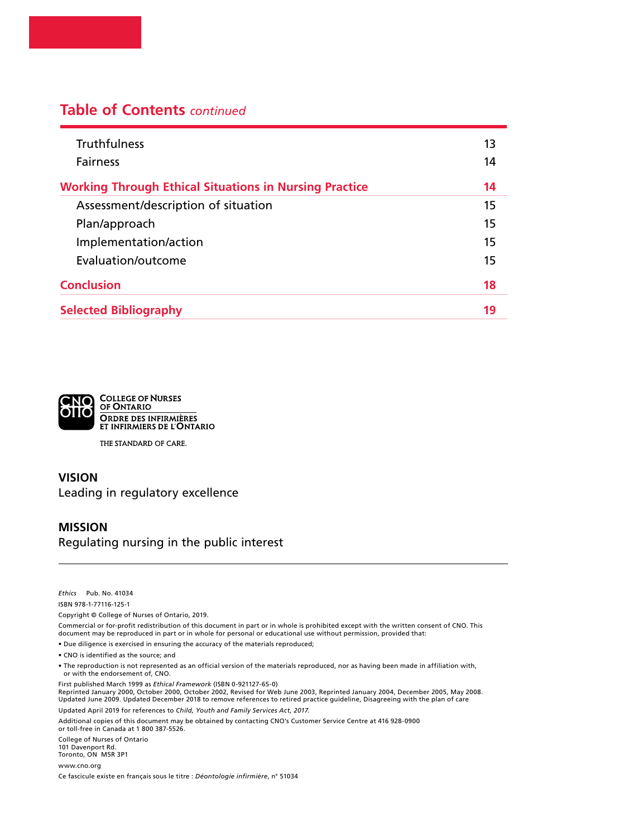# **Table of Contents** *continued*

| <b>Truthfulness</b><br><b>Fairness</b>                        | 13<br>14 |
|---------------------------------------------------------------|----------|
| <b>Working Through Ethical Situations in Nursing Practice</b> | 14       |
| Assessment/description of situation                           | 15       |
| Plan/approach                                                 | 15       |
| Implementation/action                                         | 15       |
| Evaluation/outcome                                            | 15       |
| <b>Conclusion</b>                                             | 18       |
| <b>Selected Bibliography</b>                                  | 19       |



THE STANDARD OF CARE.

#### **VISION**  Leading in regulatory excellence

#### **MISSION**

Regulating nursing in the public interest

*Ethics* Pub. No. 41034

ISBN 978-1-77116-125-1

Copyright © College of Nurses of Ontario, 2019.

Commercial or for-profit redistribution of this document in part or in whole is prohibited except with the written consent of CNO. This<br>document may be reproduced in part or in whole for personal or educational use without

• Due diligence is exercised in ensuring the accuracy of the materials reproduced;

• CNO is identified as the source; and

• The reproduction is not represented as an official version of the materials reproduced, nor as having been made in affiliation with, or with the endorsement of, CNO.

First published March 1999 as *Ethical Framework* (ISBN 0-921127-65-0) Reprinted January 2000, October 2000, October 2002, Revised for Web June 2003, Reprinted January 2004, December 2005, May 2008. Updated June 2009. Updated December 2018 to remove references to retired practice guideline, Disagreeing with the plan of care Updated April 2019 for references to *Child, Youth and Family Services Act, 2017.*

Additional copies of this document may be obtained by contacting CNO's Customer Service Centre at 416 928-0900 or toll-free in Canada at 1 800 387-5526.

College of Nurses of Ontario 101 Davenport Rd. Toronto, ON M5R 3P1

[www.cno.org](http://www.cno.org)

Ce fascicule existe en français sous le titre : *Déontologie infirmière*, n° 51034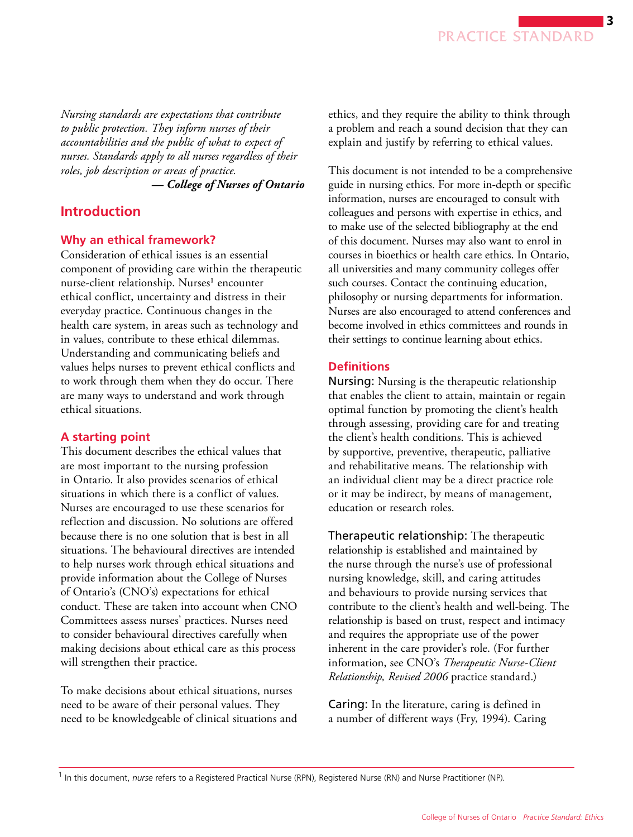<span id="page-2-0"></span>*Nursing standards are expectations that contribute to public protection. They inform nurses of their accountabilities and the public of what to expect of nurses. Standards apply to all nurses regardless of their roles, job description or areas of practice.* 

*— College of Nurses of Ontario* 

# **Introduction**

#### **Why an ethical framework?**

Consideration of ethical issues is an essential component of providing care within the therapeutic nurse-client relationship. Nurses<sup>1</sup> encounter ethical conflict, uncertainty and distress in their everyday practice. Continuous changes in the health care system, in areas such as technology and in values, contribute to these ethical dilemmas. Understanding and communicating beliefs and values helps nurses to prevent ethical conflicts and to work through them when they do occur. There are many ways to understand and work through ethical situations.

#### **A starting point**

This document describes the ethical values that are most important to the nursing profession in Ontario. It also provides scenarios of ethical situations in which there is a conflict of values. Nurses are encouraged to use these scenarios for reflection and discussion. No solutions are offered because there is no one solution that is best in all situations. The behavioural directives are intended to help nurses work through ethical situations and provide information about the College of Nurses of Ontario's (CNO's) expectations for ethical conduct. These are taken into account when CNO Committees assess nurses' practices. Nurses need to consider behavioural directives carefully when making decisions about ethical care as this process will strengthen their practice.

To make decisions about ethical situations, nurses need to be aware of their personal values. They need to be knowledgeable of clinical situations and ethics, and they require the ability to think through a problem and reach a sound decision that they can explain and justify by referring to ethical values.

 philosophy or nursing departments for information. This document is not intended to be a comprehensive guide in nursing ethics. For more in-depth or specific information, nurses are encouraged to consult with colleagues and persons with expertise in ethics, and to make use of the selected bibliography at the end of this document. Nurses may also want to enrol in courses in bioethics or health care ethics. In Ontario, all universities and many community colleges offer such courses. Contact the continuing education, Nurses are also encouraged to attend conferences and become involved in ethics committees and rounds in their settings to continue learning about ethics.

#### **Definitions**

Nursing: Nursing is the therapeutic relationship that enables the client to attain, maintain or regain optimal function by promoting the client's health through assessing, providing care for and treating the client's health conditions. This is achieved by supportive, preventive, therapeutic, palliative and rehabilitative means. The relationship with an individual client may be a direct practice role or it may be indirect, by means of management, education or research roles.

Therapeutic relationship: The therapeutic relationship is established and maintained by the nurse through the nurse's use of professional nursing knowledge, skill, and caring attitudes and behaviours to provide nursing services that contribute to the client's health and well-being. The relationship is based on trust, respect and intimacy and requires the appropriate use of the power inherent in the care provider's role. (For further information, see CNO's *Therapeutic Nurse-Client Relationship, Revised 2006* practice standard.)

Caring: In the literature, caring is defined in a number of different ways (Fry, 1994). Caring

<sup>&</sup>lt;sup>1</sup> In this document, nurse refers to a Registered Practical Nurse (RPN), Registered Nurse (RN) and Nurse Practitioner (NP).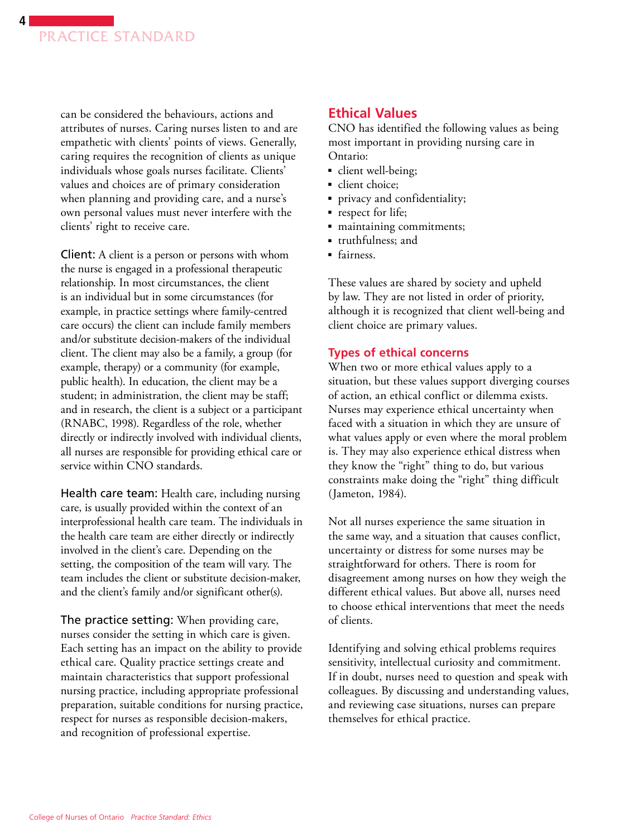<span id="page-3-0"></span>

can be considered the behaviours, actions and attributes of nurses. Caring nurses listen to and are empathetic with clients' points of views. Generally, caring requires the recognition of clients as unique individuals whose goals nurses facilitate. Clients' values and choices are of primary consideration when planning and providing care, and a nurse's own personal values must never interfere with the clients' right to receive care.

Client: A client is a person or persons with whom the nurse is engaged in a professional therapeutic relationship. In most circumstances, the client is an individual but in some circumstances (for example, in practice settings where family-centred care occurs) the client can include family members and/or substitute decision-makers of the individual client. The client may also be a family, a group (for example, therapy) or a community (for example, public health). In education, the client may be a student; in administration, the client may be staff; and in research, the client is a subject or a participant (RNABC, 1998). Regardless of the role, whether directly or indirectly involved with individual clients, all nurses are responsible for providing ethical care or service within CNO standards.

Health care team: Health care, including nursing care, is usually provided within the context of an interprofessional health care team. The individuals in the health care team are either directly or indirectly involved in the client's care. Depending on the setting, the composition of the team will vary. The team includes the client or substitute decision-maker, and the client's family and/or significant other(s).

The practice setting: When providing care, nurses consider the setting in which care is given. Each setting has an impact on the ability to provide ethical care. Quality practice settings create and maintain characteristics that support professional nursing practice, including appropriate professional preparation, suitable conditions for nursing practice, respect for nurses as responsible decision-makers, and recognition of professional expertise.

### **Ethical Values**

CNO has identified the following values as being most important in providing nursing care in Ontario:

- client well-being;
- client choice;
- privacy and confidentiality;
- respect for life;
- maintaining commitments;
- truthfulness: and
- fairness.

These values are shared by society and upheld by law. They are not listed in order of priority, although it is recognized that client well-being and client choice are primary values.

#### **Types of ethical concerns**

When two or more ethical values apply to a situation, but these values support diverging courses of action, an ethical conflict or dilemma exists. Nurses may experience ethical uncertainty when faced with a situation in which they are unsure of what values apply or even where the moral problem is. They may also experience ethical distress when they know the "right" thing to do, but various constraints make doing the "right" thing difficult (Jameton, 1984).

Not all nurses experience the same situation in the same way, and a situation that causes conflict, uncertainty or distress for some nurses may be straightforward for others. There is room for disagreement among nurses on how they weigh the different ethical values. But above all, nurses need to choose ethical interventions that meet the needs of clients.

Identifying and solving ethical problems requires sensitivity, intellectual curiosity and commitment. If in doubt, nurses need to question and speak with colleagues. By discussing and understanding values, and reviewing case situations, nurses can prepare themselves for ethical practice.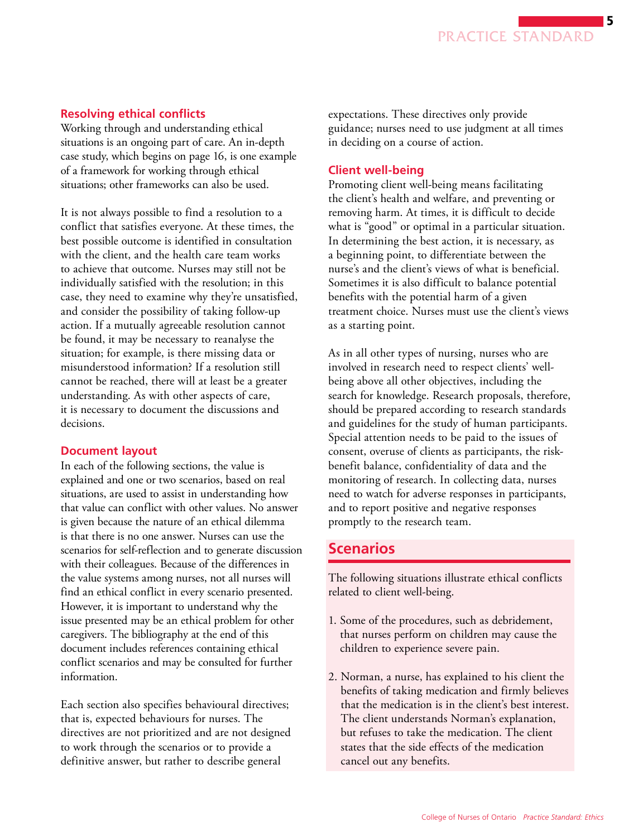#### <span id="page-4-0"></span>**Resolving ethical conflicts**

Working through and understanding ethical situations is an ongoing part of care. An in-depth case study, which begins on page 16, is one example of a framework for working through ethical situations; other frameworks can also be used.

It is not always possible to find a resolution to a conflict that satisfies everyone. At these times, the best possible outcome is identified in consultation with the client, and the health care team works to achieve that outcome. Nurses may still not be individually satisfied with the resolution; in this case, they need to examine why they're unsatisfied, and consider the possibility of taking follow-up action. If a mutually agreeable resolution cannot be found, it may be necessary to reanalyse the situation; for example, is there missing data or misunderstood information? If a resolution still cannot be reached, there will at least be a greater understanding. As with other aspects of care, it is necessary to document the discussions and decisions.

#### **Document layout**

In each of the following sections, the value is explained and one or two scenarios, based on real situations, are used to assist in understanding how that value can conflict with other values. No answer is given because the nature of an ethical dilemma is that there is no one answer. Nurses can use the scenarios for self-reflection and to generate discussion with their colleagues. Because of the differences in the value systems among nurses, not all nurses will find an ethical conflict in every scenario presented. However, it is important to understand why the issue presented may be an ethical problem for other caregivers. The bibliography at the end of this document includes references containing ethical conflict scenarios and may be consulted for further information.

Each section also specifies behavioural directives; that is, expected behaviours for nurses. The directives are not prioritized and are not designed to work through the scenarios or to provide a definitive answer, but rather to describe general

expectations. These directives only provide guidance; nurses need to use judgment at all times in deciding on a course of action.

#### **Client well-being**

Promoting client well-being means facilitating the client's health and welfare, and preventing or removing harm. At times, it is difficult to decide what is "good" or optimal in a particular situation. In determining the best action, it is necessary, as a beginning point, to differentiate between the nurse's and the client's views of what is beneficial. Sometimes it is also difficult to balance potential benefits with the potential harm of a given treatment choice. Nurses must use the client's views as a starting point.

As in all other types of nursing, nurses who are involved in research need to respect clients' wellbeing above all other objectives, including the search for knowledge. Research proposals, therefore, should be prepared according to research standards and guidelines for the study of human participants. Special attention needs to be paid to the issues of consent, overuse of clients as participants, the riskbenefit balance, confidentiality of data and the monitoring of research. In collecting data, nurses need to watch for adverse responses in participants, and to report positive and negative responses promptly to the research team.

# **Scenarios**

The following situations illustrate ethical conflicts related to client well-being.

- 1. Some of the procedures, such as debridement, that nurses perform on children may cause the children to experience severe pain.
- 2. Norman, a nurse, has explained to his client the benefits of taking medication and firmly believes that the medication is in the client's best interest. The client understands Norman's explanation, but refuses to take the medication. The client states that the side effects of the medication cancel out any benefits.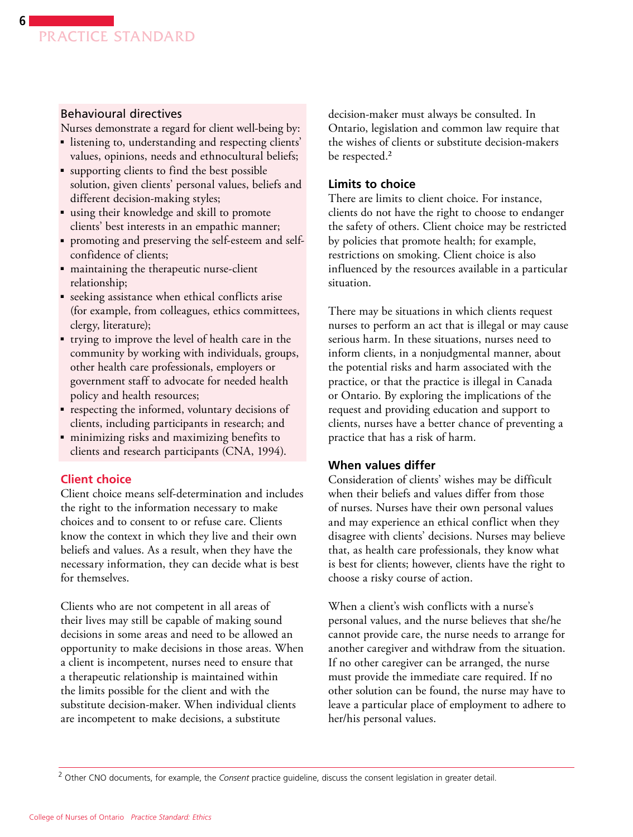#### <span id="page-5-0"></span>Behavioural directives

Nurses demonstrate a regard for client well-being by:

- listening to, understanding and respecting clients' values, opinions, needs and ethnocultural beliefs;
- supporting clients to find the best possible solution, given clients' personal values, beliefs and different decision-making styles;
- using their knowledge and skill to promote clients' best interests in an empathic manner;
- promoting and preserving the self-esteem and selfconfidence of clients;
- maintaining the therapeutic nurse-client relationship;
- seeking assistance when ethical conflicts arise (for example, from colleagues, ethics committees, clergy, literature);
- trying to improve the level of health care in the community by working with individuals, groups, other health care professionals, employers or government staff to advocate for needed health policy and health resources;
- respecting the informed, voluntary decisions of clients, including participants in research; and
- minimizing risks and maximizing benefits to clients and research participants (CNA, 1994).

#### **Client choice**

Client choice means self-determination and includes the right to the information necessary to make choices and to consent to or refuse care. Clients know the context in which they live and their own beliefs and values. As a result, when they have the necessary information, they can decide what is best for themselves.

Clients who are not competent in all areas of their lives may still be capable of making sound decisions in some areas and need to be allowed an opportunity to make decisions in those areas. When a client is incompetent, nurses need to ensure that a therapeutic relationship is maintained within the limits possible for the client and with the substitute decision-maker. When individual clients are incompetent to make decisions, a substitute

decision-maker must always be consulted. In Ontario, legislation and common law require that the wishes of clients or substitute decision-makers be respected.<sup>2</sup>

#### **Limits to choice**

There are limits to client choice. For instance, clients do not have the right to choose to endanger the safety of others. Client choice may be restricted by policies that promote health; for example, restrictions on smoking. Client choice is also influenced by the resources available in a particular situation.

There may be situations in which clients request nurses to perform an act that is illegal or may cause serious harm. In these situations, nurses need to inform clients, in a nonjudgmental manner, about the potential risks and harm associated with the practice, or that the practice is illegal in Canada or Ontario. By exploring the implications of the request and providing education and support to clients, nurses have a better chance of preventing a practice that has a risk of harm.

#### **When values differ**

Consideration of clients' wishes may be difficult when their beliefs and values differ from those of nurses. Nurses have their own personal values and may experience an ethical conflict when they disagree with clients' decisions. Nurses may believe that, as health care professionals, they know what is best for clients; however, clients have the right to choose a risky course of action.

When a client's wish conflicts with a nurse's personal values, and the nurse believes that she/he cannot provide care, the nurse needs to arrange for another caregiver and withdraw from the situation. If no other caregiver can be arranged, the nurse must provide the immediate care required. If no other solution can be found, the nurse may have to leave a particular place of employment to adhere to her/his personal values.

<sup>2</sup>  Other CNO documents, for example, the *Consent* practice guideline, discuss the consent legislation in greater detail.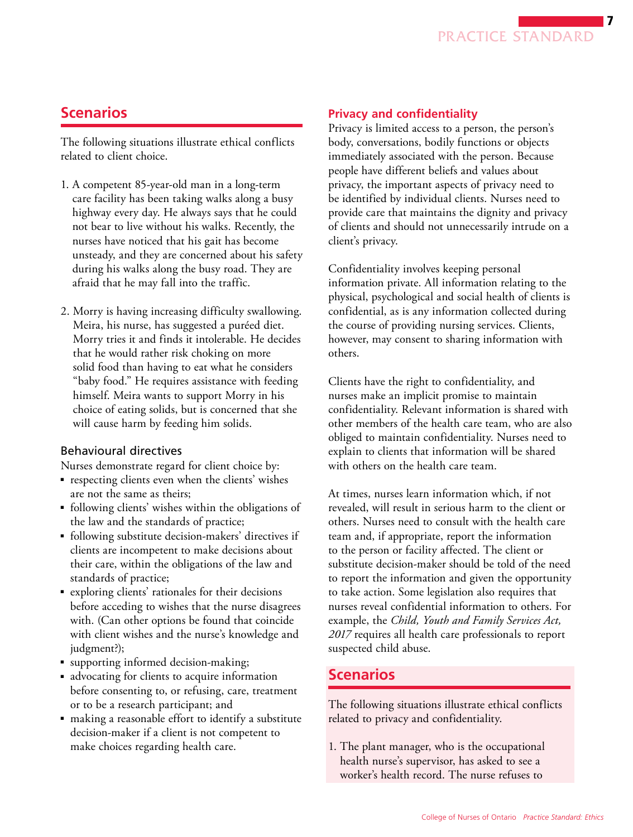

# <span id="page-6-0"></span>**Scenarios**

The following situations illustrate ethical conflicts related to client choice.

- 1. A competent 85-year-old man in a long-term care facility has been taking walks along a busy highway every day. He always says that he could not bear to live without his walks. Recently, the nurses have noticed that his gait has become unsteady, and they are concerned about his safety during his walks along the busy road. They are afraid that he may fall into the traffic.
- 2. Morry is having increasing difficulty swallowing. Meira, his nurse, has suggested a puréed diet. Morry tries it and finds it intolerable. He decides that he would rather risk choking on more solid food than having to eat what he considers "baby food." He requires assistance with feeding himself. Meira wants to support Morry in his choice of eating solids, but is concerned that she will cause harm by feeding him solids.

#### Behavioural directives

Nurses demonstrate regard for client choice by:

- respecting clients even when the clients' wishes are not the same as theirs;
- following clients' wishes within the obligations of the law and the standards of practice;
- following substitute decision-makers' directives if clients are incompetent to make decisions about their care, within the obligations of the law and standards of practice;
- exploring clients' rationales for their decisions before acceding to wishes that the nurse disagrees with. (Can other options be found that coincide with client wishes and the nurse's knowledge and judgment?);
- supporting informed decision-making;
- advocating for clients to acquire information before consenting to, or refusing, care, treatment or to be a research participant; and
- making a reasonable effort to identify a substitute decision-maker if a client is not competent to make choices regarding health care.

#### **Privacy and confidentiality**

Privacy is limited access to a person, the person's body, conversations, bodily functions or objects immediately associated with the person. Because people have different beliefs and values about privacy, the important aspects of privacy need to be identified by individual clients. Nurses need to provide care that maintains the dignity and privacy of clients and should not unnecessarily intrude on a client's privacy.

Confidentiality involves keeping personal information private. All information relating to the physical, psychological and social health of clients is confidential, as is any information collected during the course of providing nursing services. Clients, however, may consent to sharing information with others.

Clients have the right to confidentiality, and nurses make an implicit promise to maintain confidentiality. Relevant information is shared with other members of the health care team, who are also obliged to maintain confidentiality. Nurses need to explain to clients that information will be shared with others on the health care team.

At times, nurses learn information which, if not revealed, will result in serious harm to the client or others. Nurses need to consult with the health care team and, if appropriate, report the information to the person or facility affected. The client or substitute decision-maker should be told of the need to report the information and given the opportunity to take action. Some legislation also requires that nurses reveal confidential information to others. For example, the *Child, Youth and Family Services Act, 2017* requires all health care professionals to report suspected child abuse.

### **Scenarios**

The following situations illustrate ethical conflicts related to privacy and confidentiality.

1. The plant manager, who is the occupational health nurse's supervisor, has asked to see a worker's health record. The nurse refuses to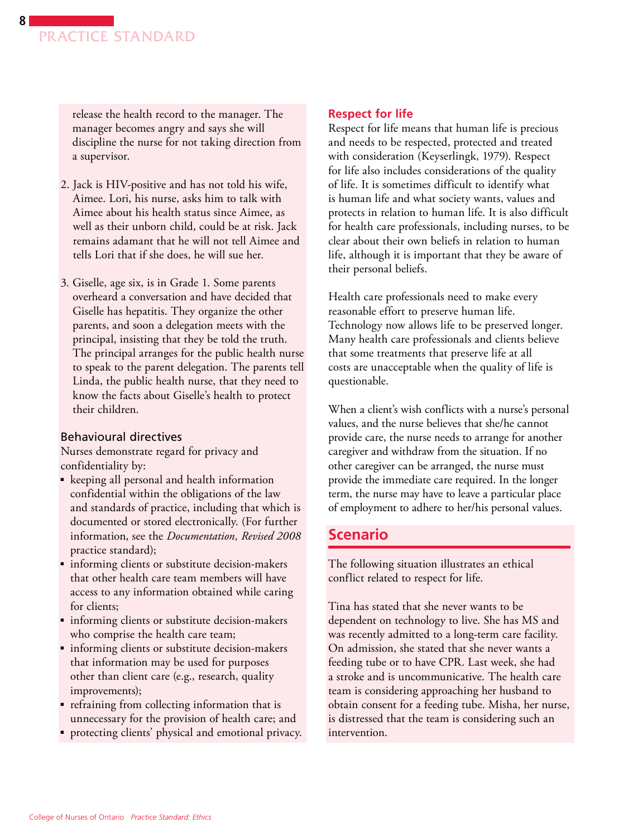<span id="page-7-0"></span>release the health record to the manager. The manager becomes angry and says she will discipline the nurse for not taking direction from a supervisor.

- 2. Jack is HIV-positive and has not told his wife, Aimee. Lori, his nurse, asks him to talk with Aimee about his health status since Aimee, as well as their unborn child, could be at risk. Jack remains adamant that he will not tell Aimee and tells Lori that if she does, he will sue her.
- 3. Giselle, age six, is in Grade 1. Some parents overheard a conversation and have decided that Giselle has hepatitis. They organize the other parents, and soon a delegation meets with the principal, insisting that they be told the truth. The principal arranges for the public health nurse to speak to the parent delegation. The parents tell Linda, the public health nurse, that they need to know the facts about Giselle's health to protect their children.

#### Behavioural directives

Nurses demonstrate regard for privacy and confidentiality by:

- keeping all personal and health information confidential within the obligations of the law and standards of practice, including that which is documented or stored electronically. (For further information, see the *Documentation, Revised 2008* practice standard);
- informing clients or substitute decision-makers that other health care team members will have access to any information obtained while caring for clients;
- informing clients or substitute decision-makers who comprise the health care team;
- informing clients or substitute decision-makers that information may be used for purposes other than client care (e.g., research, quality improvements);
- ■ refraining from collecting information that is unnecessary for the provision of health care; and
- protecting clients' physical and emotional privacy.

#### **Respect for life**

Respect for life means that human life is precious and needs to be respected, protected and treated with consideration (Keyserlingk, 1979). Respect for life also includes considerations of the quality of life. It is sometimes difficult to identify what is human life and what society wants, values and protects in relation to human life. It is also difficult for health care professionals, including nurses, to be clear about their own beliefs in relation to human life, although it is important that they be aware of their personal beliefs.

Health care professionals need to make every reasonable effort to preserve human life. Technology now allows life to be preserved longer. Many health care professionals and clients believe that some treatments that preserve life at all costs are unacceptable when the quality of life is questionable.

When a client's wish conflicts with a nurse's personal values, and the nurse believes that she/he cannot provide care, the nurse needs to arrange for another caregiver and withdraw from the situation. If no other caregiver can be arranged, the nurse must provide the immediate care required. In the longer term, the nurse may have to leave a particular place of employment to adhere to her/his personal values.

### **Scenario**

The following situation illustrates an ethical conflict related to respect for life.

Tina has stated that she never wants to be dependent on technology to live. She has MS and was recently admitted to a long-term care facility. On admission, she stated that she never wants a feeding tube or to have CPR. Last week, she had a stroke and is uncommunicative. The health care team is considering approaching her husband to obtain consent for a feeding tube. Misha, her nurse, is distressed that the team is considering such an intervention.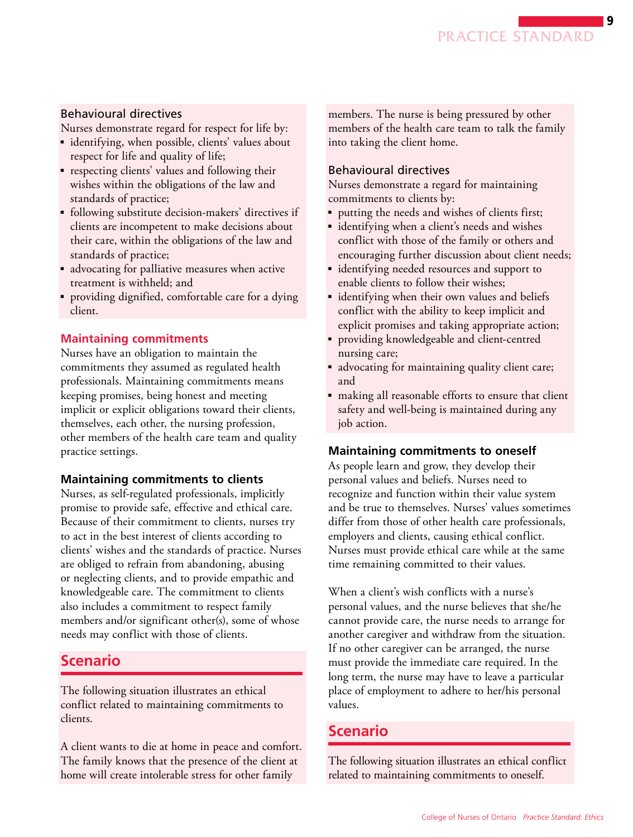# <span id="page-8-0"></span>Behavioural directives

Nurses demonstrate regard for respect for life by:

- identifying, when possible, clients' values about respect for life and quality of life;
- respecting clients' values and following their wishes within the obligations of the law and standards of practice;
- following substitute decision-makers' directives if clients are incompetent to make decisions about their care, within the obligations of the law and standards of practice;
- advocating for palliative measures when active treatment is withheld; and
- providing dignified, comfortable care for a dying client.

# **Maintaining commitments**

 professionals. Maintaining commitments means Nurses have an obligation to maintain the commitments they assumed as regulated health keeping promises, being honest and meeting implicit or explicit obligations toward their clients, themselves, each other, the nursing profession, other members of the health care team and quality practice settings.

# **Maintaining commitments to clients**

Nurses, as self-regulated professionals, implicitly promise to provide safe, effective and ethical care. Because of their commitment to clients, nurses try to act in the best interest of clients according to clients' wishes and the standards of practice. Nurses are obliged to refrain from abandoning, abusing or neglecting clients, and to provide empathic and knowledgeable care. The commitment to clients also includes a commitment to respect family members and/or significant other(s), some of whose needs may conflict with those of clients.

# **Scenario**

The following situation illustrates an ethical conflict related to maintaining commitments to clients.

A client wants to die at home in peace and comfort. The family knows that the presence of the client at home will create intolerable stress for other family

members. The nurse is being pressured by other members of the health care team to talk the family into taking the client home.

# Behavioural directives

Nurses demonstrate a regard for maintaining commitments to clients by:

- putting the needs and wishes of clients first;
- identifying when a client's needs and wishes conflict with those of the family or others and encouraging further discussion about client needs;
- identifying needed resources and support to enable clients to follow their wishes;
- identifying when their own values and beliefs conflict with the ability to keep implicit and explicit promises and taking appropriate action;
- ■ providing knowledgeable and client-centred nursing care;
- advocating for maintaining quality client care; and
- making all reasonable efforts to ensure that client safety and well-being is maintained during any job action.

# **Maintaining commitments to oneself**

As people learn and grow, they develop their personal values and beliefs. Nurses need to recognize and function within their value system and be true to themselves. Nurses' values sometimes differ from those of other health care professionals, employers and clients, causing ethical conflict. Nurses must provide ethical care while at the same time remaining committed to their values.

When a client's wish conflicts with a nurse's personal values, and the nurse believes that she/he cannot provide care, the nurse needs to arrange for another caregiver and withdraw from the situation. If no other caregiver can be arranged, the nurse must provide the immediate care required. In the long term, the nurse may have to leave a particular place of employment to adhere to her/his personal values.

# **Scenario**

The following situation illustrates an ethical conflict related to maintaining commitments to oneself.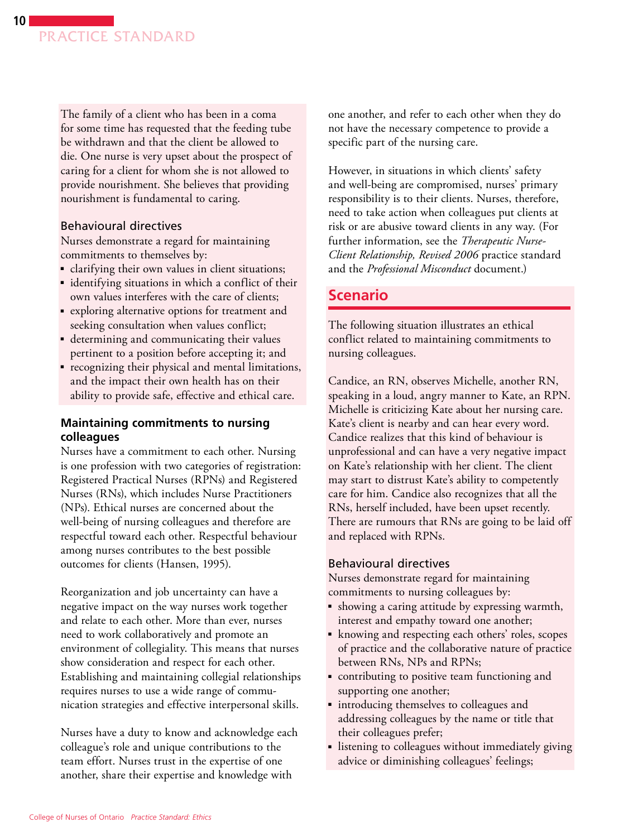<span id="page-9-0"></span>The family of a client who has been in a coma for some time has requested that the feeding tube be withdrawn and that the client be allowed to die. One nurse is very upset about the prospect of caring for a client for whom she is not allowed to provide nourishment. She believes that providing nourishment is fundamental to caring.

#### Behavioural directives

Nurses demonstrate a regard for maintaining commitments to themselves by:

- clarifying their own values in client situations;
- identifying situations in which a conflict of their own values interferes with the care of clients;
- exploring alternative options for treatment and seeking consultation when values conflict;
- determining and communicating their values pertinent to a position before accepting it; and
- ■ recognizing their physical and mental limitations, and the impact their own health has on their ability to provide safe, effective and ethical care.

#### **Maintaining commitments to nursing colleagues**

Nurses have a commitment to each other. Nursing is one profession with two categories of registration: Registered Practical Nurses (RPNs) and Registered Nurses (RNs), which includes Nurse Practitioners (NPs). Ethical nurses are concerned about the well-being of nursing colleagues and therefore are respectful toward each other. Respectful behaviour among nurses contributes to the best possible outcomes for clients (Hansen, 1995).

Reorganization and job uncertainty can have a negative impact on the way nurses work together and relate to each other. More than ever, nurses need to work collaboratively and promote an environment of collegiality. This means that nurses show consideration and respect for each other. Establishing and maintaining collegial relationships requires nurses to use a wide range of communication strategies and effective interpersonal skills.

Nurses have a duty to know and acknowledge each colleague's role and unique contributions to the team effort. Nurses trust in the expertise of one another, share their expertise and knowledge with

one another, and refer to each other when they do not have the necessary competence to provide a specific part of the nursing care.

However, in situations in which clients' safety and well-being are compromised, nurses' primary responsibility is to their clients. Nurses, therefore, need to take action when colleagues put clients at risk or are abusive toward clients in any way. (For further information, see the *Therapeutic Nurse-Client Relationship, Revised 2006* practice standard and the *Professional Misconduct* document.)

# **Scenario**

The following situation illustrates an ethical conflict related to maintaining commitments to nursing colleagues.

Candice, an RN, observes Michelle, another RN, speaking in a loud, angry manner to Kate, an RPN. Michelle is criticizing Kate about her nursing care. Kate's client is nearby and can hear every word. Candice realizes that this kind of behaviour is unprofessional and can have a very negative impact on Kate's relationship with her client. The client may start to distrust Kate's ability to competently care for him. Candice also recognizes that all the RNs, herself included, have been upset recently. There are rumours that RNs are going to be laid off and replaced with RPNs.

#### Behavioural directives

Nurses demonstrate regard for maintaining commitments to nursing colleagues by:

- showing a caring attitude by expressing warmth, interest and empathy toward one another;
- knowing and respecting each others' roles, scopes of practice and the collaborative nature of practice between RNs, NPs and RPNs;
- contributing to positive team functioning and supporting one another;
- introducing themselves to colleagues and addressing colleagues by the name or title that their colleagues prefer;
- listening to colleagues without immediately giving advice or diminishing colleagues' feelings;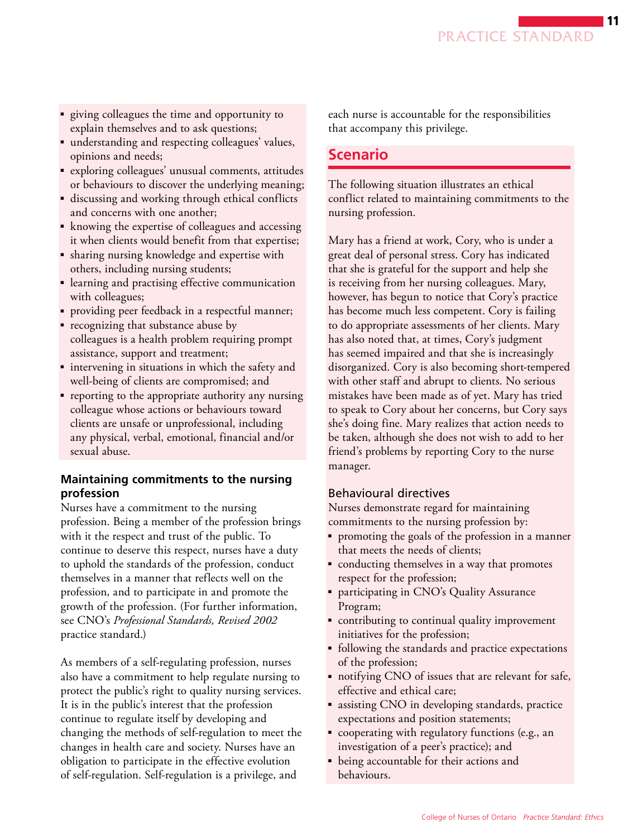- <span id="page-10-0"></span>■ giving colleagues the time and opportunity to explain themselves and to ask questions;
- understanding and respecting colleagues' values, opinions and needs;
- exploring colleagues' unusual comments, attitudes or behaviours to discover the underlying meaning;
- discussing and working through ethical conflicts and concerns with one another;
- knowing the expertise of colleagues and accessing it when clients would benefit from that expertise;
- sharing nursing knowledge and expertise with others, including nursing students;
- learning and practising effective communication with colleagues;
- providing peer feedback in a respectful manner;
- recognizing that substance abuse by colleagues is a health problem requiring prompt assistance, support and treatment;
- intervening in situations in which the safety and well-being of clients are compromised; and
- reporting to the appropriate authority any nursing colleague whose actions or behaviours toward clients are unsafe or unprofessional, including any physical, verbal, emotional, financial and/or sexual abuse.

#### **Maintaining commitments to the nursing profession**

Nurses have a commitment to the nursing profession. Being a member of the profession brings with it the respect and trust of the public. To continue to deserve this respect, nurses have a duty to uphold the standards of the profession, conduct themselves in a manner that reflects well on the profession, and to participate in and promote the growth of the profession. (For further information, see CNO's *Professional Standards, Revised 2002*  practice standard.)

As members of a self-regulating profession, nurses also have a commitment to help regulate nursing to protect the public's right to quality nursing services. It is in the public's interest that the profession continue to regulate itself by developing and changing the methods of self-regulation to meet the changes in health care and society. Nurses have an obligation to participate in the effective evolution of self-regulation. Self-regulation is a privilege, and

each nurse is accountable for the responsibilities that accompany this privilege.

# **Scenario**

The following situation illustrates an ethical conflict related to maintaining commitments to the nursing profession.

Mary has a friend at work, Cory, who is under a great deal of personal stress. Cory has indicated that she is grateful for the support and help she is receiving from her nursing colleagues. Mary, however, has begun to notice that Cory's practice has become much less competent. Cory is failing to do appropriate assessments of her clients. Mary has also noted that, at times, Cory's judgment has seemed impaired and that she is increasingly disorganized. Cory is also becoming short-tempered with other staff and abrupt to clients. No serious mistakes have been made as of yet. Mary has tried to speak to Cory about her concerns, but Cory says she's doing fine. Mary realizes that action needs to be taken, although she does not wish to add to her friend's problems by reporting Cory to the nurse manager.

### Behavioural directives

Nurses demonstrate regard for maintaining commitments to the nursing profession by:

- ■ promoting the goals of the profession in a manner that meets the needs of clients;
- conducting themselves in a way that promotes respect for the profession;
- participating in CNO's Quality Assurance Program;
- contributing to continual quality improvement initiatives for the profession;
- following the standards and practice expectations of the profession;
- notifying CNO of issues that are relevant for safe, effective and ethical care;
- assisting CNO in developing standards, practice expectations and position statements;
- cooperating with regulatory functions (e.g., an investigation of a peer's practice); and
- being accountable for their actions and behaviours.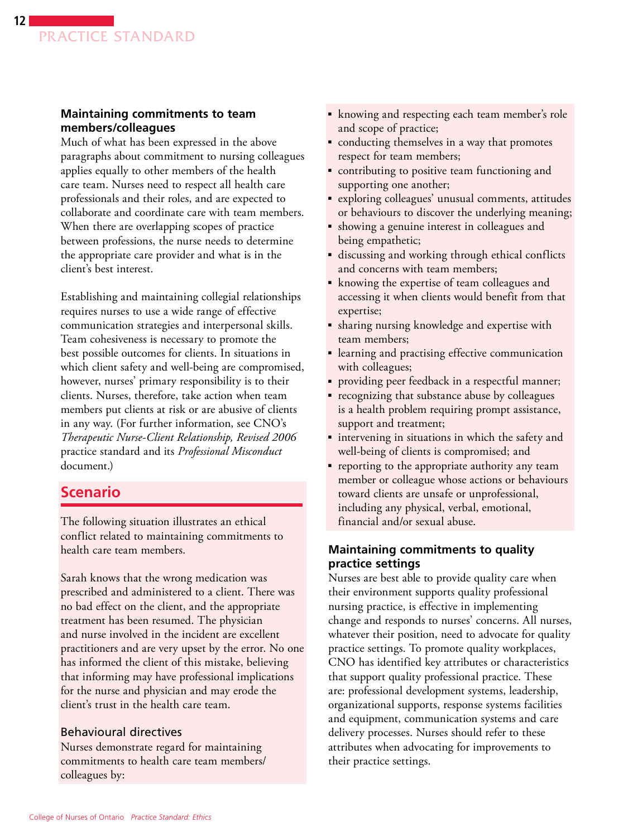#### <span id="page-11-0"></span>**Maintaining commitments to team members/colleagues**

Much of what has been expressed in the above paragraphs about commitment to nursing colleagues applies equally to other members of the health care team. Nurses need to respect all health care professionals and their roles, and are expected to collaborate and coordinate care with team members. When there are overlapping scopes of practice between professions, the nurse needs to determine the appropriate care provider and what is in the client's best interest.

Establishing and maintaining collegial relationships requires nurses to use a wide range of effective communication strategies and interpersonal skills. Team cohesiveness is necessary to promote the best possible outcomes for clients. In situations in which client safety and well-being are compromised, however, nurses' primary responsibility is to their clients. Nurses, therefore, take action when team members put clients at risk or are abusive of clients in any way. (For further information, see CNO's *Therapeutic Nurse-Client Relationship, Revised 2006*  practice standard and its *Professional Misconduct*  document.)

# **Scenario**

The following situation illustrates an ethical conflict related to maintaining commitments to health care team members.

Sarah knows that the wrong medication was prescribed and administered to a client. There was no bad effect on the client, and the appropriate treatment has been resumed. The physician and nurse involved in the incident are excellent practitioners and are very upset by the error. No one has informed the client of this mistake, believing that informing may have professional implications for the nurse and physician and may erode the client's trust in the health care team.

### Behavioural directives

Nurses demonstrate regard for maintaining commitments to health care team members/ colleagues by:

- knowing and respecting each team member's role and scope of practice;
- conducting themselves in a way that promotes respect for team members;
- contributing to positive team functioning and supporting one another;
- exploring colleagues' unusual comments, attitudes or behaviours to discover the underlying meaning;
- showing a genuine interest in colleagues and being empathetic;
- discussing and working through ethical conflicts and concerns with team members;
- knowing the expertise of team colleagues and accessing it when clients would benefit from that expertise;
- ■ sharing nursing knowledge and expertise with team members;
- learning and practising effective communication with colleagues;
- providing peer feedback in a respectful manner;
- recognizing that substance abuse by colleagues is a health problem requiring prompt assistance, support and treatment;
- intervening in situations in which the safety and well-being of clients is compromised; and
- reporting to the appropriate authority any team member or colleague whose actions or behaviours toward clients are unsafe or unprofessional, including any physical, verbal, emotional, financial and/or sexual abuse.

#### **Maintaining commitments to quality practice settings**

Nurses are best able to provide quality care when their environment supports quality professional nursing practice, is effective in implementing change and responds to nurses' concerns. All nurses, whatever their position, need to advocate for quality practice settings. To promote quality workplaces, CNO has identified key attributes or characteristics that support quality professional practice. These are: professional development systems, leadership, organizational supports, response systems facilities and equipment, communication systems and care delivery processes. Nurses should refer to these attributes when advocating for improvements to their practice settings.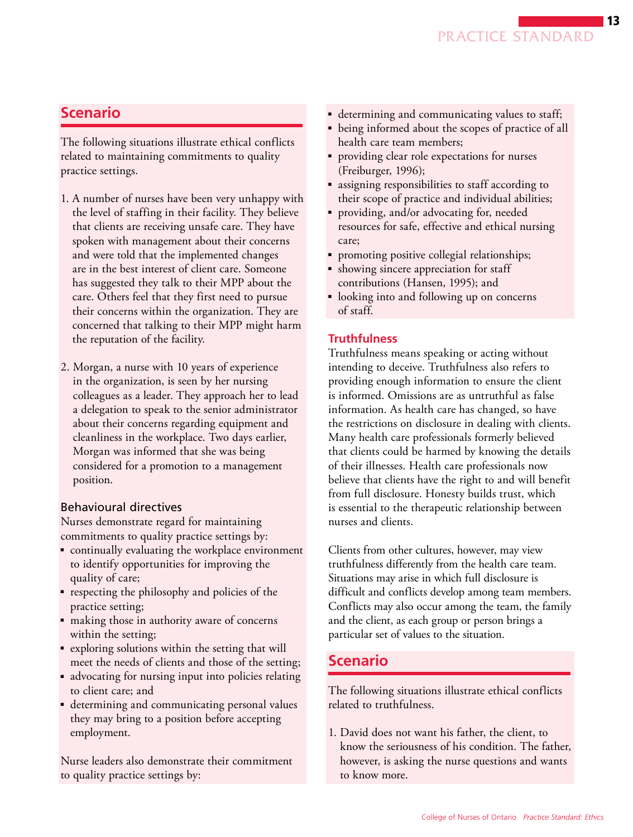# <span id="page-12-0"></span>**Scenario**

The following situations illustrate ethical conflicts related to maintaining commitments to quality practice settings.

- 1. A number of nurses have been very unhappy with the level of staffing in their facility. They believe that clients are receiving unsafe care. They have spoken with management about their concerns and were told that the implemented changes are in the best interest of client care. Someone has suggested they talk to their MPP about the care. Others feel that they first need to pursue their concerns within the organization. They are concerned that talking to their MPP might harm the reputation of the facility.
- 2. Morgan, a nurse with 10 years of experience in the organization, is seen by her nursing colleagues as a leader. They approach her to lead a delegation to speak to the senior administrator about their concerns regarding equipment and cleanliness in the workplace. Two days earlier, Morgan was informed that she was being considered for a promotion to a management position.

#### Behavioural directives

Nurses demonstrate regard for maintaining commitments to quality practice settings by:

- continually evaluating the workplace environment to identify opportunities for improving the quality of care;
- respecting the philosophy and policies of the practice setting;
- making those in authority aware of concerns within the setting;
- exploring solutions within the setting that will meet the needs of clients and those of the setting;
- advocating for nursing input into policies relating to client care; and
- determining and communicating personal values they may bring to a position before accepting employment.

Nurse leaders also demonstrate their commitment to quality practice settings by:

- determining and communicating values to staff;
- being informed about the scopes of practice of all health care team members;
- providing clear role expectations for nurses (Freiburger, 1996);
- assigning responsibilities to staff according to their scope of practice and individual abilities;
- providing, and/or advocating for, needed resources for safe, effective and ethical nursing care;
- promoting positive collegial relationships;
- showing sincere appreciation for staff contributions (Hansen, 1995); and
- looking into and following up on concerns of staff.

#### **Truthfulness**

Truthfulness means speaking or acting without intending to deceive. Truthfulness also refers to providing enough information to ensure the client is informed. Omissions are as untruthful as false information. As health care has changed, so have the restrictions on disclosure in dealing with clients. Many health care professionals formerly believed that clients could be harmed by knowing the details of their illnesses. Health care professionals now believe that clients have the right to and will benefit from full disclosure. Honesty builds trust, which is essential to the therapeutic relationship between nurses and clients.

Clients from other cultures, however, may view truthfulness differently from the health care team. Situations may arise in which full disclosure is difficult and conflicts develop among team members. Conflicts may also occur among the team, the family and the client, as each group or person brings a particular set of values to the situation.

# **Scenario**

The following situations illustrate ethical conflicts related to truthfulness.

1. David does not want his father, the client, to know the seriousness of his condition. The father, however, is asking the nurse questions and wants to know more.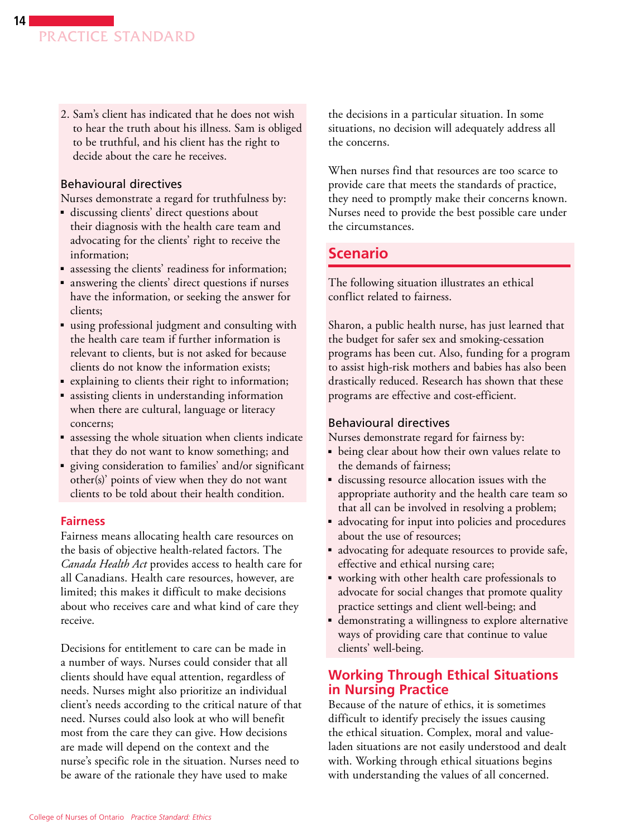<span id="page-13-0"></span>2. Sam's client has indicated that he does not wish to hear the truth about his illness. Sam is obliged to be truthful, and his client has the right to decide about the care he receives.

#### Behavioural directives

Nurses demonstrate a regard for truthfulness by:

- discussing clients' direct questions about their diagnosis with the health care team and advocating for the clients' right to receive the information;
- assessing the clients' readiness for information;
- answering the clients' direct questions if nurses have the information, or seeking the answer for clients;
- using professional judgment and consulting with the health care team if further information is relevant to clients, but is not asked for because clients do not know the information exists;
- explaining to clients their right to information;
- assisting clients in understanding information when there are cultural, language or literacy concerns;
- assessing the whole situation when clients indicate that they do not want to know something; and
- giving consideration to families' and/or significant other(s)' points of view when they do not want clients to be told about their health condition.

#### **Fairness**

Fairness means allocating health care resources on the basis of objective health-related factors. The *Canada Health Act* provides access to health care for all Canadians. Health care resources, however, are limited; this makes it difficult to make decisions about who receives care and what kind of care they receive.

Decisions for entitlement to care can be made in a number of ways. Nurses could consider that all clients should have equal attention, regardless of needs. Nurses might also prioritize an individual client's needs according to the critical nature of that need. Nurses could also look at who will benefit most from the care they can give. How decisions are made will depend on the context and the nurse's specific role in the situation. Nurses need to be aware of the rationale they have used to make

the decisions in a particular situation. In some situations, no decision will adequately address all the concerns.

When nurses find that resources are too scarce to provide care that meets the standards of practice, they need to promptly make their concerns known. Nurses need to provide the best possible care under the circumstances.

# **Scenario**

The following situation illustrates an ethical conflict related to fairness.

Sharon, a public health nurse, has just learned that the budget for safer sex and smoking-cessation programs has been cut. Also, funding for a program to assist high-risk mothers and babies has also been drastically reduced. Research has shown that these programs are effective and cost-efficient.

#### Behavioural directives

Nurses demonstrate regard for fairness by:

- being clear about how their own values relate to the demands of fairness;
- discussing resource allocation issues with the appropriate authority and the health care team so that all can be involved in resolving a problem;
- advocating for input into policies and procedures about the use of resources;
- advocating for adequate resources to provide safe, effective and ethical nursing care;
- working with other health care professionals to advocate for social changes that promote quality practice settings and client well-being; and
- demonstrating a willingness to explore alternative ways of providing care that continue to value clients' well-being.

### **Working Through Ethical Situations in Nursing Practice**

Because of the nature of ethics, it is sometimes difficult to identify precisely the issues causing the ethical situation. Complex, moral and valueladen situations are not easily understood and dealt with. Working through ethical situations begins with understanding the values of all concerned.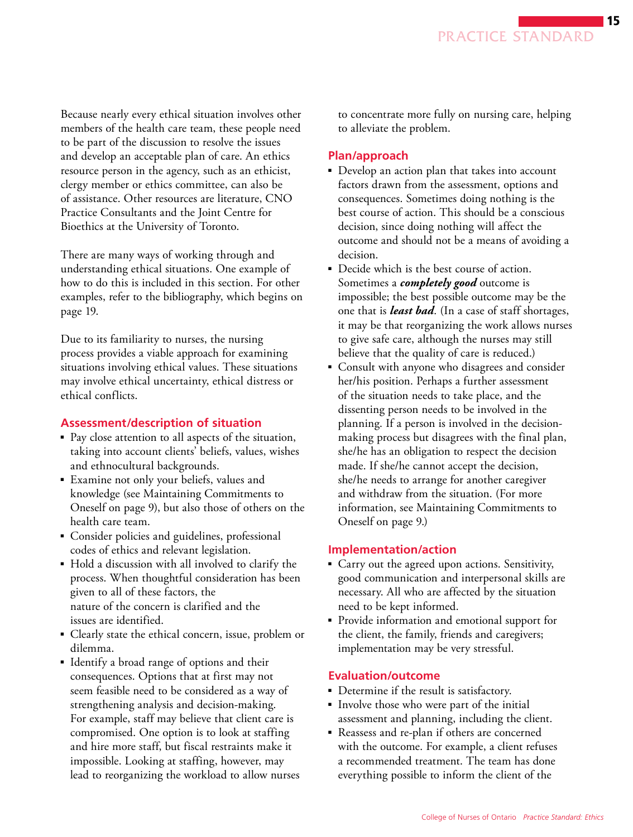<span id="page-14-0"></span>Because nearly every ethical situation involves other members of the health care team, these people need to be part of the discussion to resolve the issues and develop an acceptable plan of care. An ethics resource person in the agency, such as an ethicist, clergy member or ethics committee, can also be of assistance. Other resources are literature, CNO Practice Consultants and the Joint Centre for Bioethics at the University of Toronto.

There are many ways of working through and understanding ethical situations. One example of how to do this is included in this section. For other examples, refer to the bibliography, which begins on page 19.

Due to its familiarity to nurses, the nursing process provides a viable approach for examining situations involving ethical values. These situations may involve ethical uncertainty, ethical distress or ethical conflicts.

#### **Assessment/description of situation**

- Pay close attention to all aspects of the situation, taking into account clients' beliefs, values, wishes and ethnocultural backgrounds.
- Examine not only your beliefs, values and knowledge (see Maintaining Commitments to Oneself on page 9), but also those of others on the health care team.
- ■ Consider policies and guidelines, professional codes of ethics and relevant legislation.
- Hold a discussion with all involved to clarify the process. When thoughtful consideration has been given to all of these factors, the nature of the concern is clarified and the issues are identified.
- Clearly state the ethical concern, issue, problem or dilemma.
- Identify a broad range of options and their consequences. Options that at first may not seem feasible need to be considered as a way of strengthening analysis and decision-making. For example, staff may believe that client care is compromised. One option is to look at staffing and hire more staff, but fiscal restraints make it impossible. Looking at staffing, however, may lead to reorganizing the workload to allow nurses

to concentrate more fully on nursing care, helping to alleviate the problem.

#### **Plan/approach**

- Develop an action plan that takes into account factors drawn from the assessment, options and consequences. Sometimes doing nothing is the best course of action. This should be a conscious decision, since doing nothing will affect the outcome and should not be a means of avoiding a decision.
- Decide which is the best course of action. Sometimes a *completely good* outcome is impossible; the best possible outcome may be the one that is *least bad*. (In a case of staff shortages, it may be that reorganizing the work allows nurses to give safe care, although the nurses may still believe that the quality of care is reduced.)
- Consult with anyone who disagrees and consider her/his position. Perhaps a further assessment of the situation needs to take place, and the dissenting person needs to be involved in the planning. If a person is involved in the decisionmaking process but disagrees with the final plan, she/he has an obligation to respect the decision made. If she/he cannot accept the decision, she/he needs to arrange for another caregiver and withdraw from the situation. (For more information, see Maintaining Commitments to Oneself on page 9.)

#### **Implementation/action**

- Carry out the agreed upon actions. Sensitivity, good communication and interpersonal skills are necessary. All who are affected by the situation need to be kept informed.
- Provide information and emotional support for the client, the family, friends and caregivers; implementation may be very stressful.

#### **Evaluation/outcome**

- Determine if the result is satisfactory.
- ■ Involve those who were part of the initial assessment and planning, including the client.
- Reassess and re-plan if others are concerned with the outcome. For example, a client refuses a recommended treatment. The team has done everything possible to inform the client of the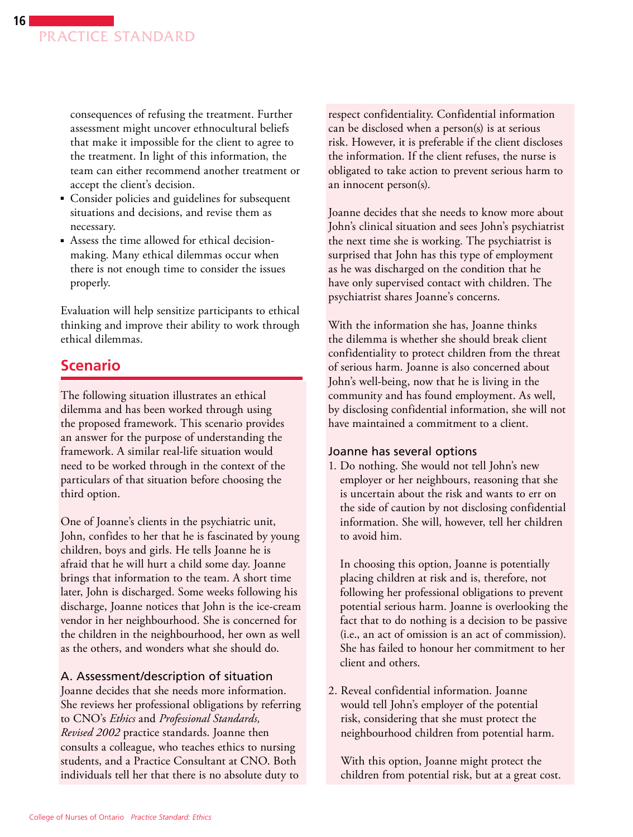consequences of refusing the treatment. Further assessment might uncover ethnocultural beliefs that make it impossible for the client to agree to the treatment. In light of this information, the team can either recommend another treatment or accept the client's decision.

- Consider policies and guidelines for subsequent situations and decisions, and revise them as necessary.
- Assess the time allowed for ethical decisionmaking. Many ethical dilemmas occur when there is not enough time to consider the issues properly.

Evaluation will help sensitize participants to ethical thinking and improve their ability to work through ethical dilemmas.

# **Scenario**

The following situation illustrates an ethical dilemma and has been worked through using the proposed framework. This scenario provides an answer for the purpose of understanding the framework. A similar real-life situation would need to be worked through in the context of the particulars of that situation before choosing the third option.

One of Joanne's clients in the psychiatric unit, John, confides to her that he is fascinated by young children, boys and girls. He tells Joanne he is afraid that he will hurt a child some day. Joanne brings that information to the team. A short time later, John is discharged. Some weeks following his discharge, Joanne notices that John is the ice-cream vendor in her neighbourhood. She is concerned for the children in the neighbourhood, her own as well as the others, and wonders what she should do.

### A. Assessment/description of situation

Joanne decides that she needs more information. She reviews her professional obligations by referring to CNO's *Ethics* and *Professional Standards, Revised 2002* practice standards. Joanne then consults a colleague, who teaches ethics to nursing students, and a Practice Consultant at CNO. Both individuals tell her that there is no absolute duty to

respect confidentiality. Confidential information can be disclosed when a person(s) is at serious risk. However, it is preferable if the client discloses the information. If the client refuses, the nurse is obligated to take action to prevent serious harm to an innocent person(s).

Joanne decides that she needs to know more about John's clinical situation and sees John's psychiatrist the next time she is working. The psychiatrist is surprised that John has this type of employment as he was discharged on the condition that he have only supervised contact with children. The psychiatrist shares Joanne's concerns.

With the information she has, Joanne thinks the dilemma is whether she should break client confidentiality to protect children from the threat of serious harm. Joanne is also concerned about John's well-being, now that he is living in the community and has found employment. As well, by disclosing confidential information, she will not have maintained a commitment to a client.

#### Joanne has several options

1. Do nothing. She would not tell John's new employer or her neighbours, reasoning that she is uncertain about the risk and wants to err on the side of caution by not disclosing confidential information. She will, however, tell her children to avoid him.

In choosing this option, Joanne is potentially placing children at risk and is, therefore, not following her professional obligations to prevent potential serious harm. Joanne is overlooking the fact that to do nothing is a decision to be passive (i.e., an act of omission is an act of commission). She has failed to honour her commitment to her client and others.

2. Reveal confidential information. Joanne would tell John's employer of the potential risk, considering that she must protect the neighbourhood children from potential harm.

With this option, Joanne might protect the children from potential risk, but at a great cost.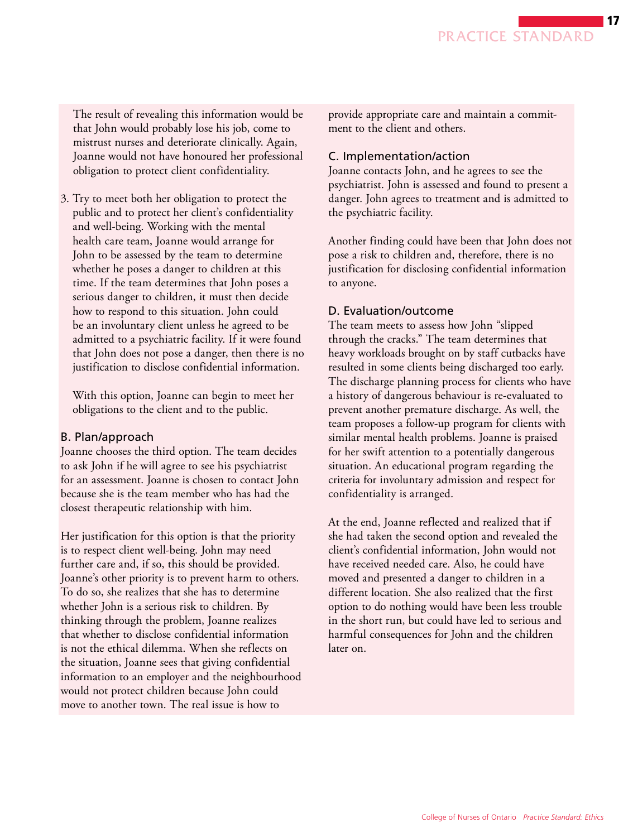The result of revealing this information would be that John would probably lose his job, come to mistrust nurses and deteriorate clinically. Again, Joanne would not have honoured her professional obligation to protect client confidentiality.

3. Try to meet both her obligation to protect the public and to protect her client's confidentiality and well-being. Working with the mental health care team, Joanne would arrange for John to be assessed by the team to determine whether he poses a danger to children at this time. If the team determines that John poses a serious danger to children, it must then decide how to respond to this situation. John could be an involuntary client unless he agreed to be admitted to a psychiatric facility. If it were found that John does not pose a danger, then there is no justification to disclose confidential information.

With this option, Joanne can begin to meet her obligations to the client and to the public.

#### B. Plan/approach

Joanne chooses the third option. The team decides to ask John if he will agree to see his psychiatrist for an assessment. Joanne is chosen to contact John because she is the team member who has had the closest therapeutic relationship with him.

Her justification for this option is that the priority is to respect client well-being. John may need further care and, if so, this should be provided. Joanne's other priority is to prevent harm to others. To do so, she realizes that she has to determine whether John is a serious risk to children. By thinking through the problem, Joanne realizes that whether to disclose confidential information is not the ethical dilemma. When she reflects on the situation, Joanne sees that giving confidential information to an employer and the neighbourhood would not protect children because John could move to another town. The real issue is how to

provide appropriate care and maintain a commitment to the client and others.

#### C. Implementation/action

Joanne contacts John, and he agrees to see the psychiatrist. John is assessed and found to present a danger. John agrees to treatment and is admitted to the psychiatric facility.

Another finding could have been that John does not pose a risk to children and, therefore, there is no justification for disclosing confidential information to anyone.

#### D. Evaluation/outcome

The team meets to assess how John "slipped through the cracks." The team determines that heavy workloads brought on by staff cutbacks have resulted in some clients being discharged too early. The discharge planning process for clients who have a history of dangerous behaviour is re-evaluated to prevent another premature discharge. As well, the team proposes a follow-up program for clients with similar mental health problems. Joanne is praised for her swift attention to a potentially dangerous situation. An educational program regarding the criteria for involuntary admission and respect for confidentiality is arranged.

At the end, Joanne reflected and realized that if she had taken the second option and revealed the client's confidential information, John would not have received needed care. Also, he could have moved and presented a danger to children in a different location. She also realized that the first option to do nothing would have been less trouble in the short run, but could have led to serious and harmful consequences for John and the children later on.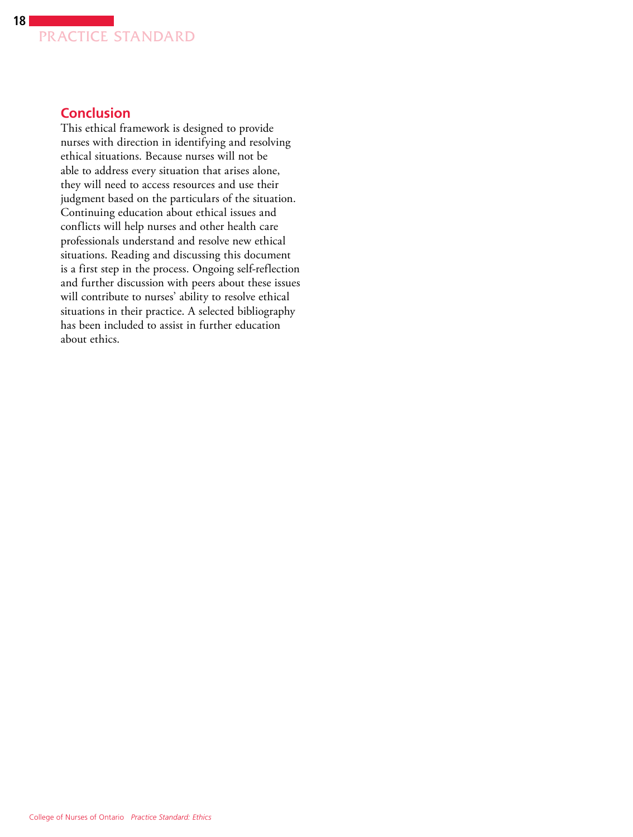<span id="page-17-0"></span>

# **Conclusion**

This ethical framework is designed to provide nurses with direction in identifying and resolving ethical situations. Because nurses will not be able to address every situation that arises alone, they will need to access resources and use their judgment based on the particulars of the situation. Continuing education about ethical issues and conflicts will help nurses and other health care professionals understand and resolve new ethical situations. Reading and discussing this document is a first step in the process. Ongoing self-reflection and further discussion with peers about these issues will contribute to nurses' ability to resolve ethical situations in their practice. A selected bibliography has been included to assist in further education about ethics.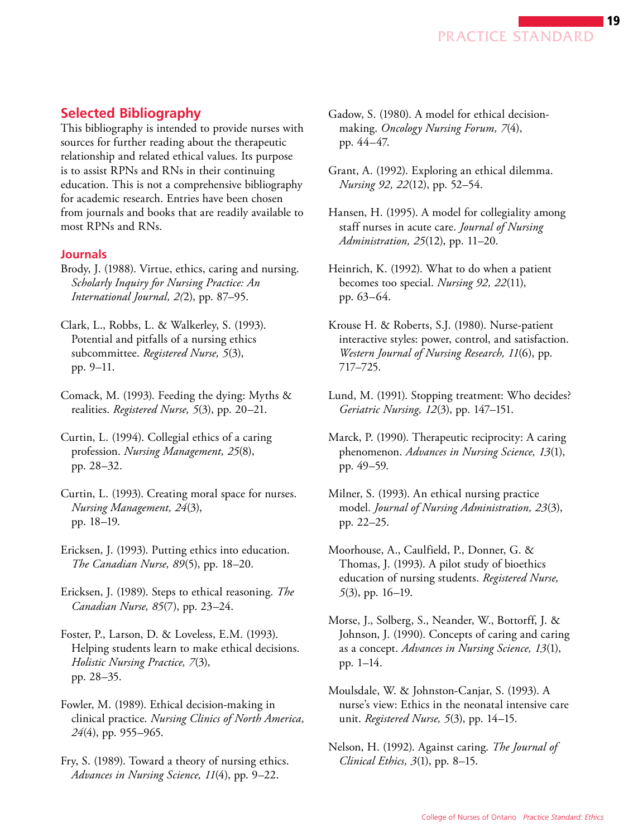

### <span id="page-18-0"></span>**Selected Bibliography**

This bibliography is intended to provide nurses with sources for further reading about the therapeutic relationship and related ethical values. Its purpose is to assist RPNs and RNs in their continuing education. This is not a comprehensive bibliography for academic research. Entries have been chosen from journals and books that are readily available to most RPNs and RNs.

#### **Journals**

Brody, J. (1988). Virtue, ethics, caring and nursing. *Scholarly Inquiry for Nursing Practice: An International Journal, 2(*2), pp. 87–95.

Clark, L., Robbs, L. & Walkerley, S. (1993). Potential and pitfalls of a nursing ethics subcommittee. *Registered Nurse, 5*(3), pp. 9–11.

Comack, M. (1993). Feeding the dying: Myths & realities. *Registered Nurse, 5*(3), pp. 20–21.

Curtin, L. (1994). Collegial ethics of a caring profession. *Nursing Management, 25*(8), pp. 28–32.

Curtin, L. (1993). Creating moral space for nurses. *Nursing Management, 24*(3), pp. 18–19.

Ericksen, J. (1993). Putting ethics into education. *The Canadian Nurse, 89*(5), pp. 18–20.

Ericksen, J. (1989). Steps to ethical reasoning. *The Canadian Nurse, 85*(7), pp. 23–24.

Foster, P., Larson, D. & Loveless, E.M. (1993). Helping students learn to make ethical decisions. *Holistic Nursing Practice, 7*(3), pp. 28–35.

Fowler, M. (1989). Ethical decision-making in clinical practice. *Nursing Clinics of North America, 24*(4), pp. 955–965.

Fry, S. (1989). Toward a theory of nursing ethics. *Advances in Nursing Science, 11*(4), pp. 9–22.

- Gadow, S. (1980). A model for ethical decisionmaking. *Oncology Nursing Forum, 7*(4), pp. 44–47.
- Grant, A. (1992). Exploring an ethical dilemma. *Nursing 92, 22*(12), pp. 52–54.
- Hansen, H. (1995). A model for collegiality among staff nurses in acute care. *Journal of Nursing Administration, 25*(12), pp. 11–20.
- Heinrich, K. (1992). What to do when a patient becomes too special. *Nursing 92, 22*(11), pp. 63–64.
- Krouse H. & Roberts, S.J. (1980). Nurse-patient interactive styles: power, control, and satisfaction. *Western Journal of Nursing Research, 11*(6), pp. 717–725.
- Lund, M. (1991). Stopping treatment: Who decides? *Geriatric Nursing, 12*(3), pp. 147–151.
- Marck, P. (1990). Therapeutic reciprocity: A caring phenomenon. *Advances in Nursing Science, 13*(1), pp. 49–59.
- Milner, S. (1993). An ethical nursing practice model. *Journal of Nursing Administration, 23*(3), pp. 22–25.

Moorhouse, A., Caulfield, P., Donner, G. & Thomas, J. (1993). A pilot study of bioethics education of nursing students. *Registered Nurse, 5*(3), pp. 16–19.

- Morse, J., Solberg, S., Neander, W., Bottorff, J. & Johnson, J. (1990). Concepts of caring and caring as a concept. *Advances in Nursing Science, 13*(1), pp. 1–14.
- Moulsdale, W. & Johnston-Canjar, S. (1993). A nurse's view: Ethics in the neonatal intensive care unit. *Registered Nurse, 5*(3), pp. 14–15.
- Nelson, H. (1992). Against caring. *The Journal of Clinical Ethics, 3*(1), pp. 8–15.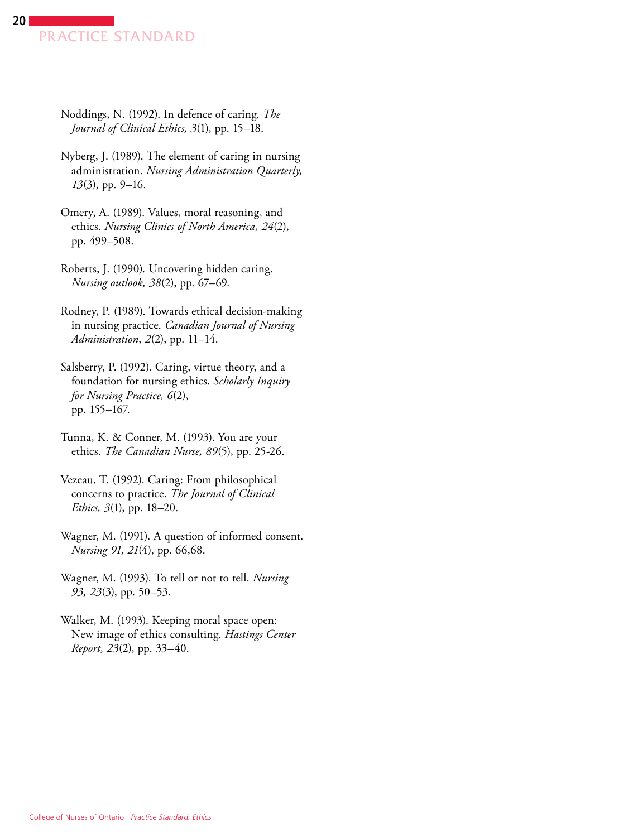- Noddings, N. (1992). In defence of caring. *The Journal of Clinical Ethics, 3*(1), pp. 15–18.
- Nyberg, J. (1989). The element of caring in nursing administration. *Nursing Administration Quarterly, 13*(3), pp. 9–16.
- Omery, A. (1989). Values, moral reasoning, and ethics. *Nursing Clinics of North America, 24*(2), pp. 499–508.
- Roberts, J. (1990). Uncovering hidden caring. *Nursing outlook, 38*(2), pp. 67–69.
- Rodney, P. (1989). Towards ethical decision-making in nursing practice. *Canadian Journal of Nursing Administration*, *2*(2), pp. 11–14.
- Salsberry, P. (1992). Caring, virtue theory, and a foundation for nursing ethics. *Scholarly Inquiry for Nursing Practice, 6*(2), pp. 155–167.
- Tunna, K. & Conner, M. (1993). You are your ethics. *The Canadian Nurse, 89*(5), pp. 25-26.
- Vezeau, T. (1992). Caring: From philosophical concerns to practice. *The Journal of Clinical Ethics, 3*(1), pp. 18–20.
- Wagner, M. (1991). A question of informed consent. *Nursing 91, 21*(4), pp. 66,68.
- Wagner, M. (1993). To tell or not to tell. *Nursing 93, 23*(3), pp. 50–53.
- Walker, M. (1993). Keeping moral space open: New image of ethics consulting. *Hastings Center Report, 23*(2), pp. 33–40.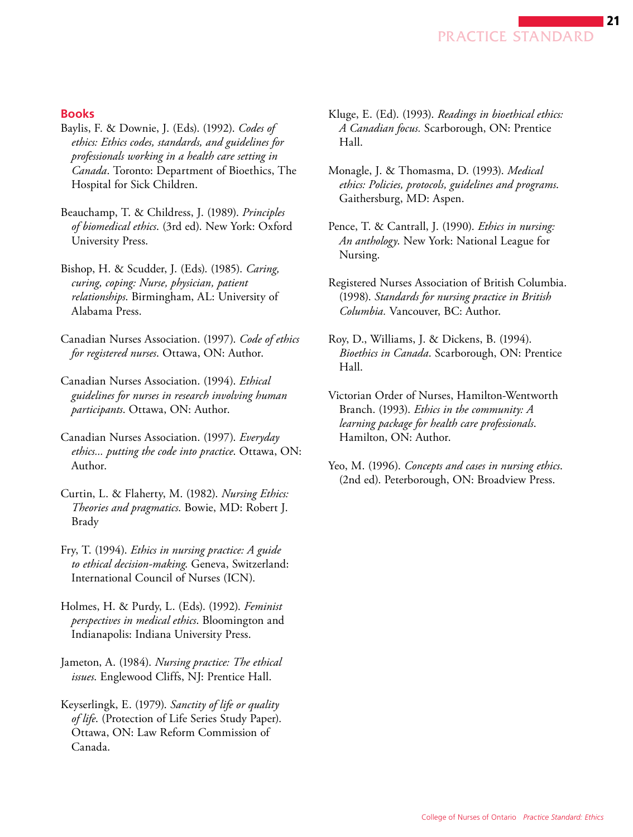

#### **Books**

- Baylis, F. & Downie, J. (Eds). (1992). *Codes of ethics: Ethics codes, standards, and guidelines for professionals working in a health care setting in Canada*. Toronto: Department of Bioethics, The Hospital for Sick Children.
- Beauchamp, T. & Childress, J. (1989). *Principles of biomedical ethics*. (3rd ed). New York: Oxford University Press.
- Bishop, H. & Scudder, J. (Eds). (1985). *Caring, curing, coping: Nurse, physician, patient relationships*. Birmingham, AL: University of Alabama Press.
- Canadian Nurses Association. (1997). *Code of ethics for registered nurses*. Ottawa, ON: Author.
- Canadian Nurses Association. (1994). *Ethical guidelines for nurses in research involving human participants*. Ottawa, ON: Author.
- Canadian Nurses Association. (1997). *Everyday ethics... putting the code into practice*. Ottawa, ON: Author.
- Curtin, L. & Flaherty, M. (1982). *Nursing Ethics: Theories and pragmatics*. Bowie, MD: Robert J. Brady
- Fry, T. (1994). *Ethics in nursing practice: A guide to ethical decision-making*. Geneva, Switzerland: International Council of Nurses (ICN).
- Holmes, H. & Purdy, L. (Eds). (1992). *Feminist perspectives in medical ethics*. Bloomington and Indianapolis: Indiana University Press.
- Jameton, A. (1984). *Nursing practice: The ethical issues*. Englewood Cliffs, NJ: Prentice Hall.
- Keyserlingk, E. (1979). *Sanctity of life or quality of life*. (Protection of Life Series Study Paper). Ottawa, ON: Law Reform Commission of Canada.
- Kluge, E. (Ed). (1993). *Readings in bioethical ethics: A Canadian focus.* Scarborough, ON: Prentice Hall.
- Monagle, J. & Thomasma, D. (1993). *Medical ethics: Policies, protocols, guidelines and programs*. Gaithersburg, MD: Aspen.
- Pence, T. & Cantrall, J. (1990). *Ethics in nursing: An anthology*. New York: National League for Nursing.
- Registered Nurses Association of British Columbia. (1998). *Standards for nursing practice in British Columbia.* Vancouver, BC: Author.
- Roy, D., Williams, J. & Dickens, B. (1994). *Bioethics in Canada*. Scarborough, ON: Prentice Hall.
- Victorian Order of Nurses, Hamilton-Wentworth Branch. (1993). *Ethics in the community: A learning package for health care professionals*. Hamilton, ON: Author.
- Yeo, M. (1996). *Concepts and cases in nursing ethics*. (2nd ed). Peterborough, ON: Broadview Press.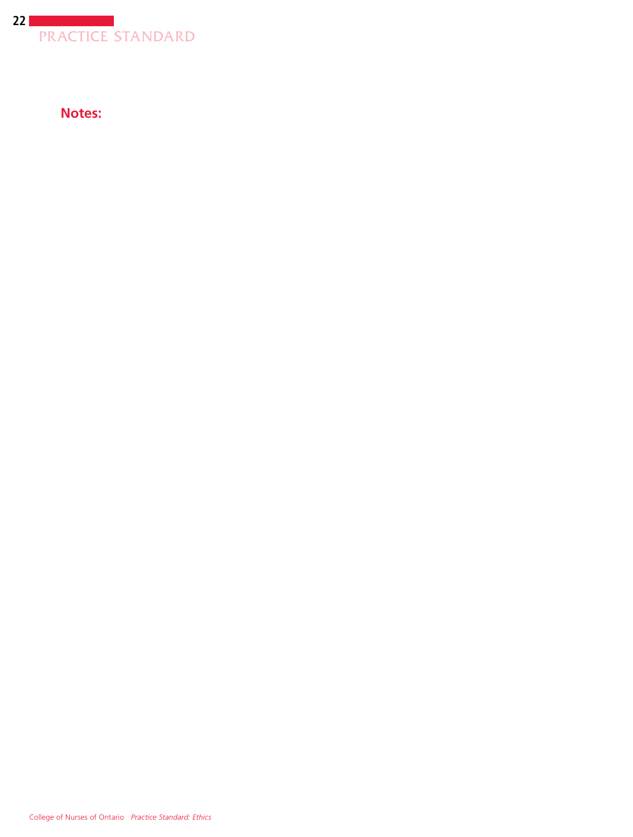

**Notes:**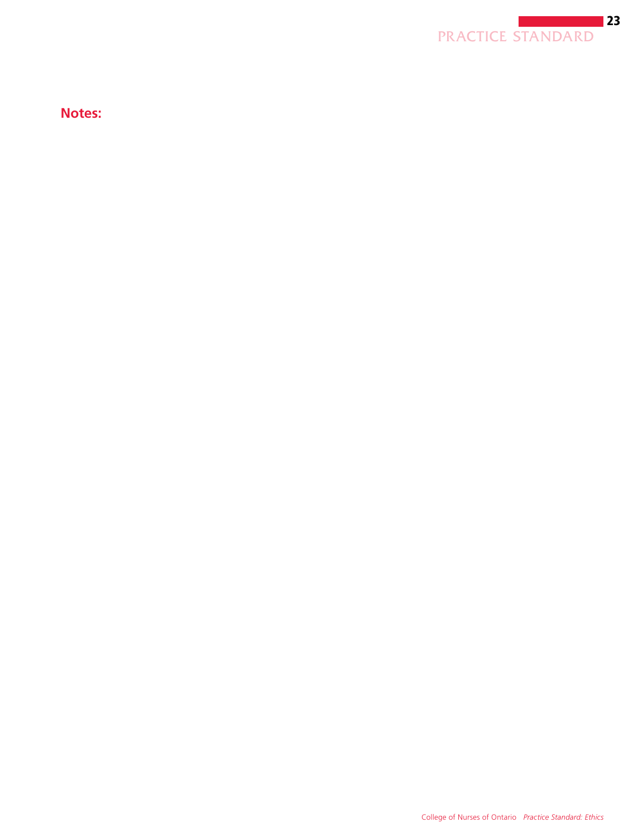

**Notes:**